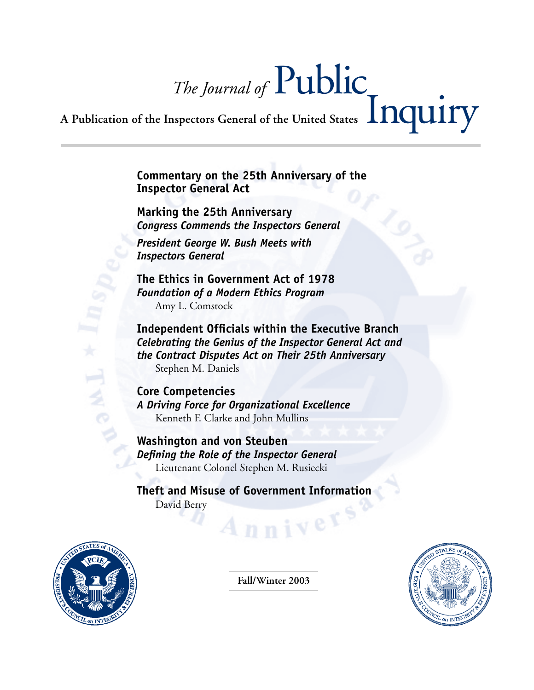# *The Journal of* Public A Publication of the Inspectors General of the United States **Inquiry**

**Commentary on the 25th Anniversary of the Inspector General Act**

**Marking the 25th Anniversary**  *Congress Commends the Inspectors General*

*President George W. Bush Meets with Inspectors General*

**The Ethics in Government Act of 1978** *Foundation of a Modern Ethics Program* Amy L. Comstock

**Independent Officials within the Executive Branch** *Celebrating the Genius of the Inspector General Act and the Contract Disputes Act on Their 25th Anniversary* Stephen M. Daniels

**Core Competencies** *A Driving Force for Organizational Excellence* Kenneth F. Clarke and John Mullins

**Washington and von Steuben** *Defining the Role of the Inspector General* Lieutenant Colonel Stephen M. Rusiecki

**Theft and Misuse of Government Information** David Berry nnivers?



**Fall/Winter 2003**

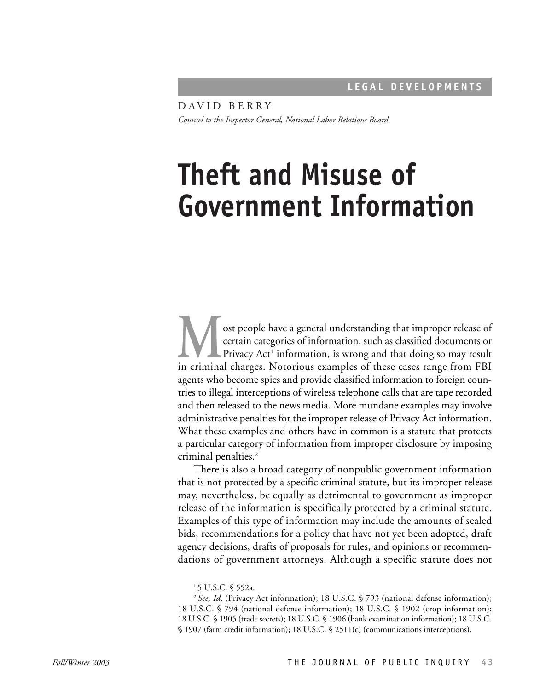DAVID BERRY *Counsel to the Inspector General, National Labor Relations Board*

# **Theft and Misuse of Government Information**

ost people have a general understanding that improper release of certain categories of information, such as classified documents or Privacy Act<sup>1</sup> information, is wrong and that doing so may result in criminal charges. Notorious examples of these cases range from FBI agents who become spies and provide classified information to foreign countries to illegal interceptions of wireless telephone calls that are tape recorded and then released to the news media. More mundane examples may involve administrative penalties for the improper release of Privacy Act information. What these examples and others have in common is a statute that protects a particular category of information from improper disclosure by imposing criminal penalties.2

There is also a broad category of nonpublic government information that is not protected by a specific criminal statute, but its improper release may, nevertheless, be equally as detrimental to government as improper release of the information is specifically protected by a criminal statute. Examples of this type of information may include the amounts of sealed bids, recommendations for a policy that have not yet been adopted, draft agency decisions, drafts of proposals for rules, and opinions or recommendations of government attorneys. Although a specific statute does not

<sup>2</sup>*See, Id*. (Privacy Act information); 18 U.S.C. § 793 (national defense information); 18 U.S.C. § 794 (national defense information); 18 U.S.C. § 1902 (crop information); 18 U.S.C. § 1905 (trade secrets); 18 U.S.C. § 1906 (bank examination information); 18 U.S.C. § 1907 (farm credit information); 18 U.S.C. § 2511(c) (communications interceptions).

<sup>1 5</sup> U.S.C. § 552a.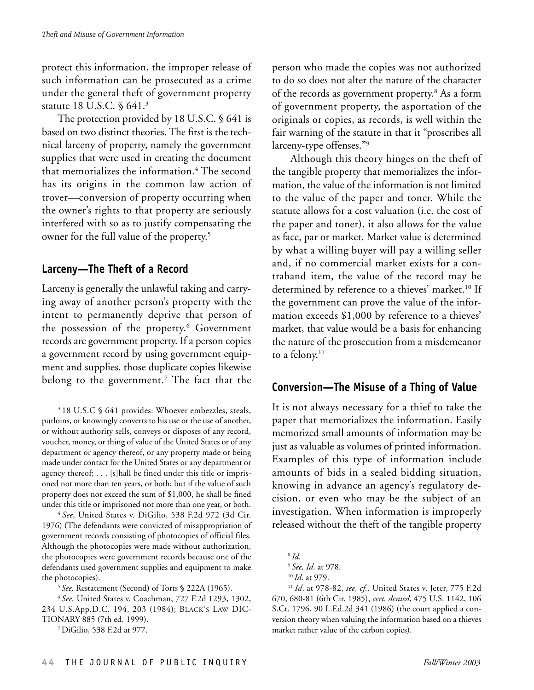protect this information, the improper release of such information can be prosecuted as a crime under the general theft of government property statute 18 U.S.C. § 641.3

The protection provided by 18 U.S.C. § 641 is based on two distinct theories. The first is the technical larceny of property, namely the government supplies that were used in creating the document that memorializes the information.<sup>4</sup> The second has its origins in the common law action of trover—conversion of property occurring when the owner's rights to that property are seriously interfered with so as to justify compensating the owner for the full value of the property.<sup>5</sup>

# **Larceny—The Theft of a Record**

Larceny is generally the unlawful taking and carrying away of another person's property with the intent to permanently deprive that person of the possession of the property.<sup>6</sup> Government records are government property. If a person copies a government record by using government equipment and supplies, those duplicate copies likewise belong to the government.<sup>7</sup> The fact that the

3 18 U.S.C § 641 provides: Whoever embezzles, steals, purloins, or knowingly converts to his use or the use of another, or without authority sells, conveys or disposes of any record, voucher, money, or thing of value of the United States or of any department or agency thereof, or any property made or being made under contact for the United States or any department or agency thereof; . . . [s]hall be fined under this title or imprisoned not more than ten years, or both; but if the value of such property does not exceed the sum of \$1,000, he shall be fined under this title or imprisoned not more than one year, or both. 4 *See*, United States v. DiGilio, 538 F.2d 972 (3d Cir.

1976) (The defendants were convicted of misappropriation of government records consisting of photocopies of official files. Although the photocopies were made without authorization, the photocopies were government records because one of the defendants used government supplies and equipment to make the photocopies). 5 *See,* Restatement (Second) of Torts § 222A (1965).

<sup>6</sup>*See,* United States v. Coachman, 727 F.2d 1293, 1302, 234 U.S.App.D.C. 194, 203 (1984); BLACK'S LAW DIC-TIONARY 885 (7th ed. 1999).

7 DiGilio, 538 F.2d at 977.

person who made the copies was not authorized to do so does not alter the nature of the character of the records as government property.<sup>8</sup> As a form of government property, the asportation of the originals or copies, as records, is well within the fair warning of the statute in that it "proscribes all larceny-type offenses."9

Although this theory hinges on the theft of the tangible property that memorializes the information, the value of the information is not limited to the value of the paper and toner. While the statute allows for a cost valuation (i.e. the cost of the paper and toner), it also allows for the value as face, par or market. Market value is determined by what a willing buyer will pay a willing seller and, if no commercial market exists for a contraband item, the value of the record may be determined by reference to a thieves' market.<sup>10</sup> If the government can prove the value of the information exceeds \$1,000 by reference to a thieves' market, that value would be a basis for enhancing the nature of the prosecution from a misdemeanor to a felony.<sup>11</sup>

#### **Conversion—The Misuse of a Thing of Value**

It is not always necessary for a thief to take the paper that memorializes the information. Easily memorized small amounts of information may be just as valuable as volumes of printed information. Examples of this type of information include amounts of bids in a sealed bidding situation, knowing in advance an agency's regulatory decision, or even who may be the subject of an investigation. When information is improperly released without the theft of the tangible property

<sup>8</sup>*Id*. <sup>9</sup>*See, Id*. at 978. <sup>10</sup>*Id*. at 979.

<sup>11</sup>*Id*. at 978-82, *see, cf.,* United States v. Jeter, 775 F.2d 670, 680-81 (6th Cir. 1985), *cert. denied*, 475 U.S. 1142, 106 S.Ct. 1796, 90 L.Ed.2d 341 (1986) (the court applied a conversion theory when valuing the information based on a thieves market rather value of the carbon copies).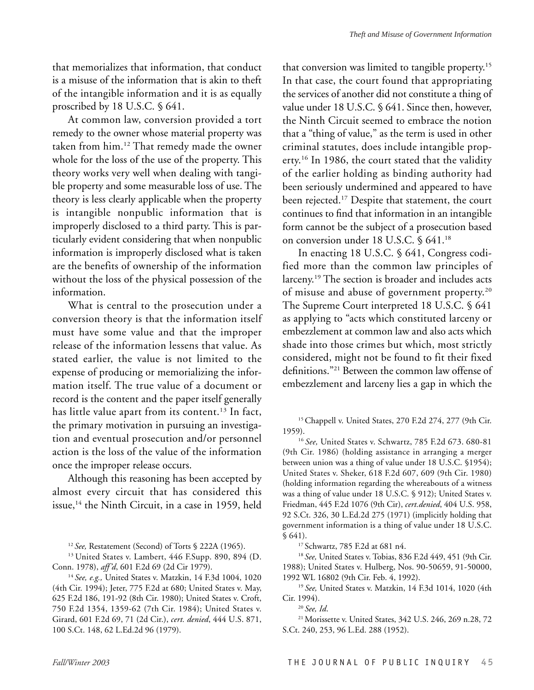that memorializes that information, that conduct is a misuse of the information that is akin to theft of the intangible information and it is as equally proscribed by 18 U.S.C. § 641.

At common law, conversion provided a tort remedy to the owner whose material property was taken from him.12 That remedy made the owner whole for the loss of the use of the property. This theory works very well when dealing with tangible property and some measurable loss of use. The theory is less clearly applicable when the property is intangible nonpublic information that is improperly disclosed to a third party. This is particularly evident considering that when nonpublic information is improperly disclosed what is taken are the benefits of ownership of the information without the loss of the physical possession of the information.

What is central to the prosecution under a conversion theory is that the information itself must have some value and that the improper release of the information lessens that value. As stated earlier, the value is not limited to the expense of producing or memorializing the information itself. The true value of a document or record is the content and the paper itself generally has little value apart from its content.<sup>13</sup> In fact, the primary motivation in pursuing an investigation and eventual prosecution and/or personnel action is the loss of the value of the information once the improper release occurs.

Although this reasoning has been accepted by almost every circuit that has considered this issue,14 the Ninth Circuit, in a case in 1959, held

<sup>14</sup>*See, e.g.,* United States v. Matzkin, 14 F.3d 1004, 1020 (4th Cir. 1994); Jeter, 775 F.2d at 680; United States v. May, 625 F.2d 186, 191-92 (8th Cir. 1980); United States v. Croft, 750 F.2d 1354, 1359-62 (7th Cir. 1984); United States v. Girard, 601 F.2d 69, 71 (2d Cir.), *cert. denied*, 444 U.S. 871, 100 S.Ct. 148, 62 L.Ed.2d 96 (1979).

that conversion was limited to tangible property.15 In that case, the court found that appropriating the services of another did not constitute a thing of value under 18 U.S.C. § 641. Since then, however, the Ninth Circuit seemed to embrace the notion that a "thing of value," as the term is used in other criminal statutes, does include intangible property.16 In 1986, the court stated that the validity of the earlier holding as binding authority had been seriously undermined and appeared to have been rejected.17 Despite that statement, the court continues to find that information in an intangible form cannot be the subject of a prosecution based on conversion under 18 U.S.C. § 641.18

In enacting 18 U.S.C. § 641, Congress codified more than the common law principles of larceny.19 The section is broader and includes acts of misuse and abuse of government property.20 The Supreme Court interpreted 18 U.S.C. § 641 as applying to "acts which constituted larceny or embezzlement at common law and also acts which shade into those crimes but which, most strictly considered, might not be found to fit their fixed definitions."21 Between the common law offense of embezzlement and larceny lies a gap in which the

<sup>15</sup> Chappell v. United States, 270 F.2d 274, 277 (9th Cir. 1959).

<sup>16</sup>*See,* United States v. Schwartz, 785 F.2d 673. 680-81 (9th Cir. 1986) (holding assistance in arranging a merger between union was a thing of value under 18 U.S.C. §1954); United States v. Sheker, 618 F.2d 607, 609 (9th Cir. 1980) (holding information regarding the whereabouts of a witness was a thing of value under 18 U.S.C. § 912); United States v. Friedman, 445 F.2d 1076 (9th Cir), *cert.denied*, 404 U.S. 958, 92 S.Ct. 326, 30 L.Ed.2d 275 (1971) (implicitly holding that government information is a thing of value under 18 U.S.C. § 641). 17 Schwartz, 785 F.2d at 681 n4.

<sup>18</sup>*See,* United States v. Tobias, 836 F.2d 449, 451 (9th Cir. 1988); United States v. Hulberg, Nos. 90-50659, 91-50000, 1992 WL 16802 (9th Cir. Feb. 4, 1992).

<sup>19</sup>*See,* United States v. Matzkin, 14 F.3d 1014, 1020 (4th Cir. 1994).

<sup>20</sup>*See, Id*.

21 Morissette v. United States, 342 U.S. 246, 269 n.28, 72 S.Ct. 240, 253, 96 L.Ed. 288 (1952).

<sup>12</sup>*See,* Restatement (Second) of Torts § 222A (1965).

<sup>&</sup>lt;sup>13</sup> United States v. Lambert, 446 F.Supp. 890, 894 (D. Conn. 1978), *aff'd*, 601 F.2d 69 (2d Cir 1979).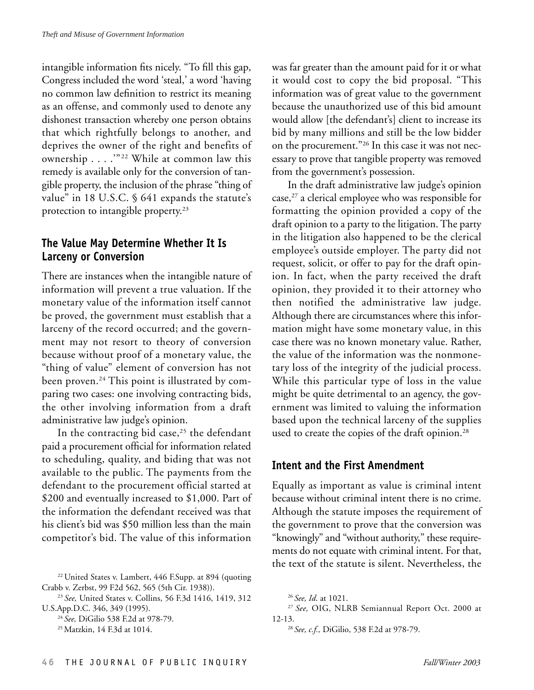intangible information fits nicely. "To fill this gap, Congress included the word 'steal,' a word 'having no common law definition to restrict its meaning as an offense, and commonly used to denote any dishonest transaction whereby one person obtains that which rightfully belongs to another, and deprives the owner of the right and benefits of ownership . . . . "<sup>22</sup> While at common law this remedy is available only for the conversion of tangible property, the inclusion of the phrase "thing of value" in 18 U.S.C. § 641 expands the statute's protection to intangible property.<sup>23</sup>

#### **The Value May Determine Whether It Is Larceny or Conversion**

There are instances when the intangible nature of information will prevent a true valuation. If the monetary value of the information itself cannot be proved, the government must establish that a larceny of the record occurred; and the government may not resort to theory of conversion because without proof of a monetary value, the "thing of value" element of conversion has not been proven.<sup>24</sup> This point is illustrated by comparing two cases: one involving contracting bids, the other involving information from a draft administrative law judge's opinion.

In the contracting bid case,<sup>25</sup> the defendant paid a procurement official for information related to scheduling, quality, and biding that was not available to the public. The payments from the defendant to the procurement official started at \$200 and eventually increased to \$1,000. Part of the information the defendant received was that his client's bid was \$50 million less than the main competitor's bid. The value of this information was far greater than the amount paid for it or what it would cost to copy the bid proposal. "This information was of great value to the government because the unauthorized use of this bid amount would allow [the defendant's] client to increase its bid by many millions and still be the low bidder on the procurement."<sup>26</sup> In this case it was not necessary to prove that tangible property was removed from the government's possession.

In the draft administrative law judge's opinion case, $27$  a clerical employee who was responsible for formatting the opinion provided a copy of the draft opinion to a party to the litigation. The party in the litigation also happened to be the clerical employee's outside employer. The party did not request, solicit, or offer to pay for the draft opinion. In fact, when the party received the draft opinion, they provided it to their attorney who then notified the administrative law judge. Although there are circumstances where this information might have some monetary value, in this case there was no known monetary value. Rather, the value of the information was the nonmonetary loss of the integrity of the judicial process. While this particular type of loss in the value might be quite detrimental to an agency, the government was limited to valuing the information based upon the technical larceny of the supplies used to create the copies of the draft opinion.<sup>28</sup>

# **Intent and the First Amendment**

Equally as important as value is criminal intent because without criminal intent there is no crime. Although the statute imposes the requirement of the government to prove that the conversion was "knowingly" and "without authority," these requirements do not equate with criminal intent. For that, the text of the statute is silent. Nevertheless, the

<sup>22</sup> United States v. Lambert, 446 F.Supp. at 894 (quoting Crabb v. Zerbst, 99 F2d 562, 565 (5th Cir. 1938)).

<sup>23</sup>*See,* United States v. Collins, 56 F.3d 1416, 1419, 312 U.S.App.D.C. 346, 349 (1995).

<sup>24</sup>*See,* DiGilio 538 F.2d at 978-79.

<sup>25</sup> Matzkin, 14 F.3d at 1014.

<sup>26</sup>*See, Id*. at 1021.

<sup>27</sup>*See,* OIG, NLRB Semiannual Report Oct. 2000 at 12-13.

<sup>28</sup>*See, c.f.,* DiGilio, 538 F.2d at 978-79.